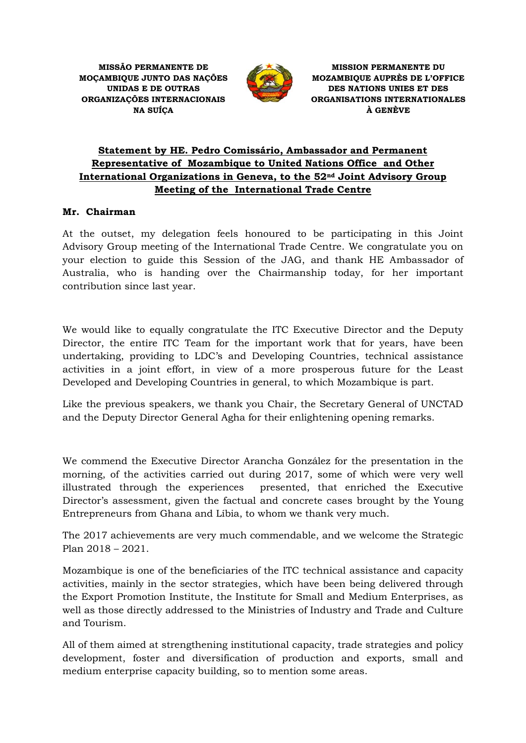

**MISSION PERMANENTE DU MOZAMBIQUE AUPRÈS DE L'OFFICE DES NATIONS UNIES ET DES ORGANISATIONS INTERNATIONALES À GENÈVE**

## **Statement by HE. Pedro Comissário, Ambassador and Permanent Representative of Mozambique to United Nations Office and Other International Organizations in Geneva, to the 52nd Joint Advisory Group Meeting of the International Trade Centre**

## **Mr. Chairman**

At the outset, my delegation feels honoured to be participating in this Joint Advisory Group meeting of the International Trade Centre. We congratulate you on your election to guide this Session of the JAG, and thank HE Ambassador of Australia, who is handing over the Chairmanship today, for her important contribution since last year.

We would like to equally congratulate the ITC Executive Director and the Deputy Director, the entire ITC Team for the important work that for years, have been undertaking, providing to LDC's and Developing Countries, technical assistance activities in a joint effort, in view of a more prosperous future for the Least Developed and Developing Countries in general, to which Mozambique is part.

Like the previous speakers, we thank you Chair, the Secretary General of UNCTAD and the Deputy Director General Agha for their enlightening opening remarks.

We commend the Executive Director Arancha González for the presentation in the morning, of the activities carried out during 2017, some of which were very well illustrated through the experiences presented, that enriched the Executive Director's assessment, given the factual and concrete cases brought by the Young Entrepreneurs from Ghana and Líbia, to whom we thank very much.

The 2017 achievements are very much commendable, and we welcome the Strategic Plan 2018 – 2021.

Mozambique is one of the beneficiaries of the ITC technical assistance and capacity activities, mainly in the sector strategies, which have been being delivered through the Export Promotion Institute, the Institute for Small and Medium Enterprises, as well as those directly addressed to the Ministries of Industry and Trade and Culture and Tourism.

All of them aimed at strengthening institutional capacity, trade strategies and policy development, foster and diversification of production and exports, small and medium enterprise capacity building, so to mention some areas.